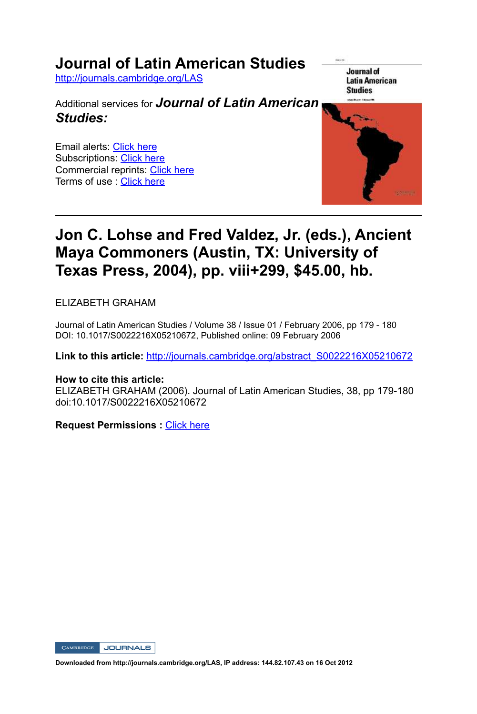## **Journal of Latin American Studies**

http://journals.cambridge.org/LAS

Additional services for *Journal of Latin American Studies:*

Email alerts: Click here Subscriptions: Click here Commercial reprints: Click here Terms of use : Click here

Journal of **Latin American Studies** 



## **Jon C. Lohse and Fred Valdez, Jr. (eds.), Ancient Maya Commoners (Austin, TX: University of Texas Press, 2004), pp. viii+299, \$45.00, hb.**

ELIZABETH GRAHAM

Journal of Latin American Studies / Volume 38 / Issue 01 / February 2006, pp 179 - 180 DOI: 10.1017/S0022216X05210672, Published online: 09 February 2006

**Link to this article:** http://journals.cambridge.org/abstract\_S0022216X05210672

### **How to cite this article:**

ELIZABETH GRAHAM (2006). Journal of Latin American Studies, 38, pp 179-180 doi:10.1017/S0022216X05210672

**Request Permissions :** Click here

**CAMBRIDGE** JOURNALS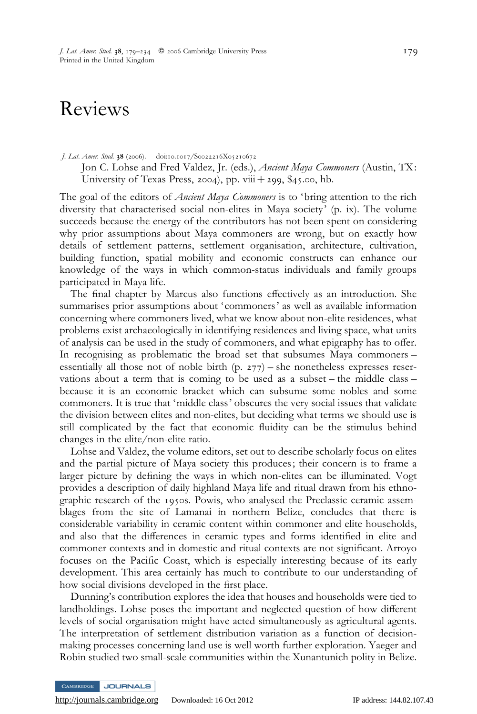# Reviews

#### J. Lat. Amer. Stud. 38 (2006). doi:10.1017/S0022216X05210672

Jon C. Lohse and Fred Valdez, Jr. (eds.), Ancient Maya Commoners (Austin, TX: University of Texas Press, 2004), pp. viii  $+$  299, \$45.00, hb.

The goal of the editors of *Ancient Maya Commoners* is to 'bring attention to the rich diversity that characterised social non-elites in Maya society' (p. ix). The volume succeeds because the energy of the contributors has not been spent on considering why prior assumptions about Maya commoners are wrong, but on exactly how details of settlement patterns, settlement organisation, architecture, cultivation, building function, spatial mobility and economic constructs can enhance our knowledge of the ways in which common-status individuals and family groups participated in Maya life.

The final chapter by Marcus also functions effectively as an introduction. She summarises prior assumptions about 'commoners' as well as available information concerning where commoners lived, what we know about non-elite residences, what problems exist archaeologically in identifying residences and living space, what units of analysis can be used in the study of commoners, and what epigraphy has to offer. In recognising as problematic the broad set that subsumes Maya commoners – essentially all those not of noble birth (p. 277) – she nonetheless expresses reservations about a term that is coming to be used as a subset – the middle class – because it is an economic bracket which can subsume some nobles and some commoners. It is true that 'middle class' obscures the very social issues that validate the division between elites and non-elites, but deciding what terms we should use is still complicated by the fact that economic fluidity can be the stimulus behind changes in the elite/non-elite ratio.

Lohse and Valdez, the volume editors, set out to describe scholarly focus on elites and the partial picture of Maya society this produces ; their concern is to frame a larger picture by defining the ways in which non-elites can be illuminated. Vogt provides a description of daily highland Maya life and ritual drawn from his ethnographic research of the 1950s. Powis, who analysed the Preclassic ceramic assemblages from the site of Lamanai in northern Belize, concludes that there is considerable variability in ceramic content within commoner and elite households, and also that the differences in ceramic types and forms identified in elite and commoner contexts and in domestic and ritual contexts are not significant. Arroyo focuses on the Pacific Coast, which is especially interesting because of its early development. This area certainly has much to contribute to our understanding of how social divisions developed in the first place.

Dunning's contribution explores the idea that houses and households were tied to landholdings. Lohse poses the important and neglected question of how different levels of social organisation might have acted simultaneously as agricultural agents. The interpretation of settlement distribution variation as a function of decisionmaking processes concerning land use is well worth further exploration. Yaeger and Robin studied two small-scale communities within the Xunantunich polity in Belize.

JOURNALS

<http://journals.cambridge.org> Downloaded: 16 Oct 2012 IP address: 144.82.107.43